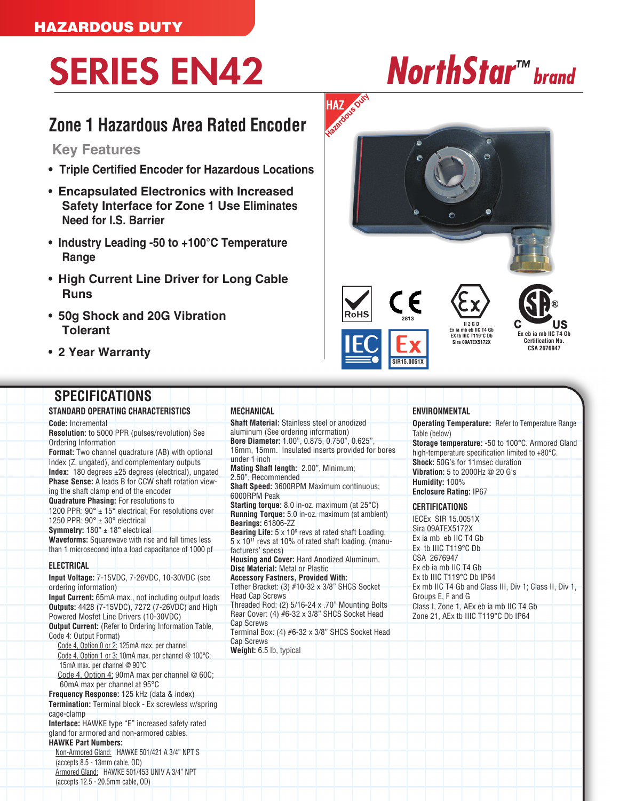## SERIES EN42 *NorthStar™ brand*

## **Zone 1 Hazardous Area Rated Encoder**

**Key Features**

- **Triple Certified Encoder for Hazardous Locations**
- **Encapsulated Electronics with Increased Safety Interface for Zone 1 Use Eliminates Need for I.S. Barrier**
- **Industry Leading -50 to +100°C Temperature Range**
- **High Current Line Driver for Long Cable Runs**
- **50g Shock and 20G Vibration Tolerant**
- **2 Year Warranty**

## **SPECIFICATIONS**

**STANDARD OPERATING CHARACTERISTICS**

**Code:** Incremental **Resolution:** to 5000 PPR (pulses/revolution) See Ordering Information **Format:** Two channel quadrature (AB) with optional Index (Z, ungated), and complementary outputs **Index:** 180 degrees ±25 degrees (electrical), ungated **Phase Sense:** A leads B for CCW shaft rotation viewing the shaft clamp end of the encoder **Quadrature Phasing:** For resolutions to 1200 PPR: 90° ± 15° electrical; For resolutions over 1250 PPR:  $90^\circ \pm 30^\circ$  electrical **Symmetry:** 180° ± 18° electrical **Waveforms:** Squarewave with rise and fall times less than 1 microsecond into a load capacitance of 1000 pf **ELECTRICAL Input Voltage:** 7-15VDC, 7-26VDC, 10-30VDC (see ordering information) **Input Current:** 65mA max., not including output loads **Outputs:** 4428 (7-15VDC), 7272 (7-26VDC) and High Powered Mosfet Line Drivers (10-30VDC) **Output Current:** (Refer to Ordering Information Table, Code 4: Output Format) Code 4, Option 0 or 2: 125mA max. per channel Code 4, Option 1 or 3: 10mA max. per channel @ 100°C; 15mA max. per channel @ 90°C Code 4, Option 4: 90mA max per channel @ 60C; 60mA max per channel at 95°C **Frequency Response:** 125 kHz (data & index) **Termination:** Terminal block - Ex screwless w/spring cage-clamp **Interface:** HAWKE type "E" increased safety rated gland for armored and non-armored cables. **HAWKE Part Numbers:** Non-Armored Gland: HAWKE 501/421 A 3/4" NPT S (accepts 8.5 - 13mm cable, OD) Armored Gland: HAWKE 501/453 UNIV A 3/4" NPT

(accepts 12.5 - 20.5mm cable, OD)

**MECHANICAL Shaft Material:** Stainless steel or anodized aluminum (See ordering information) **Bore Diameter:** 1.00", 0.875, 0.750", 0.625", 16mm, 15mm. Insulated inserts provided for bores under 1 inch **Mating Shaft length:** 2.00", Minimum; 2.50", Recommended **Shaft Speed:** 3600RPM Maximum continuous; 6000RPM Peak **Starting torque:** 8.0 in-oz. maximum (at 25°C) **Running Torque:** 5.0 in-oz. maximum (at ambient) **Bearings:** 61806-ZZ **Bearing Life:** 5 x 10<sup>8</sup> revs at rated shaft Loading, 5 x 1011 revs at 10% of rated shaft loading. (manufacturers' specs) **Housing and Cover:** Hard Anodized Aluminum. **Disc Material:** Metal or Plastic **Accessory Fastners, Provided With:** Tether Bracket: (3) #10-32 x 3/8" SHCS Socket Head Cap Screws Threaded Rod: (2) 5/16-24 x .70" Mounting Bolts Rear Cover: (4) #6-32 x 3/8" SHCS Socket Head Cap Screws Terminal Box: (4) #6-32 x 3/8" SHCS Socket Head Cap Screws **Weight:** 6.5 lb, typical

**HAZ Hazardous Duty**



## **ENVIRONMENTAL**

**Operating Temperature:** Refer to Temperature Range Table (below) **Storage temperature:** -50 to 100°C. Armored Gland high-temperature specification limited to +80°C. **Shock:** 50G's for 11msec duration

**Vibration:** 5 to 2000Hz @ 20 G's **Humidity:** 100% **Enclosure Rating:** IP67

**CERTIFICATIONS** IECEx SIR 15.0051X Sira 09ATEX5172X Ex ia mb eb IIC T4 Gb Ex tb IIIC T119°C Db CSA 2676947 Ex eb ia mb IIC T4 Gb Ex tb IIIC T119°C Db IP64 Ex mb IIC T4 Gb and Class III, Div 1; Class II, Div 1, Groups E, F and G Class I, Zone 1, AEx eb ia mb IIC T4 Gb Zone 21, AEx tb IIIC T119°C Db IP64

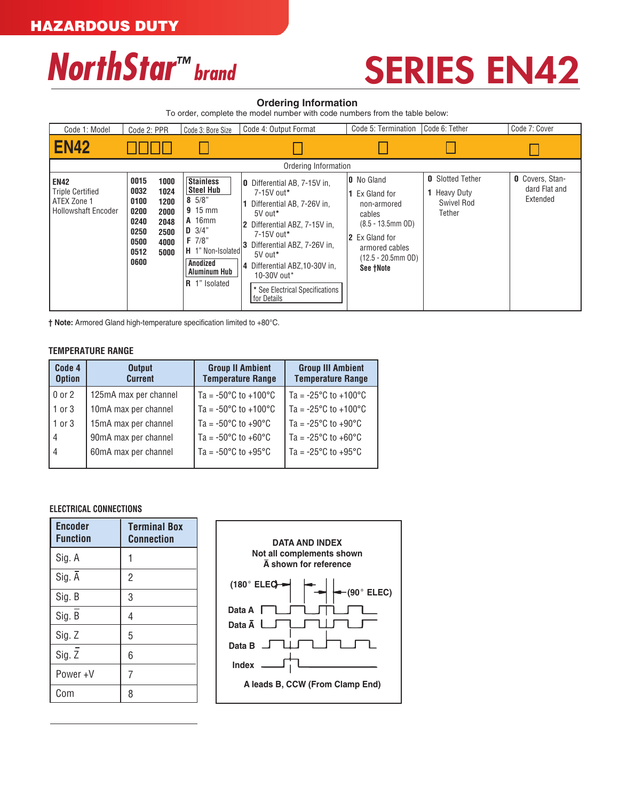# $NorthStar<sup>™</sup>$  *brand* SERIES EN42

### **Ordering Information**

To order, complete the model number with code numbers from the table below:

| Code 1: Model                                                                       | Code 2: PPR                                                                                                                          | Code 3: Bore Size                                                                                                                                                              | Code 4: Output Format                                                                                                                                                                                                                                                                | Code 5: Termination                                                                                                                                            | Code 6: Tether                                                         | Code 7: Cover                                       |  |
|-------------------------------------------------------------------------------------|--------------------------------------------------------------------------------------------------------------------------------------|--------------------------------------------------------------------------------------------------------------------------------------------------------------------------------|--------------------------------------------------------------------------------------------------------------------------------------------------------------------------------------------------------------------------------------------------------------------------------------|----------------------------------------------------------------------------------------------------------------------------------------------------------------|------------------------------------------------------------------------|-----------------------------------------------------|--|
| <b>EN42</b>                                                                         |                                                                                                                                      |                                                                                                                                                                                |                                                                                                                                                                                                                                                                                      |                                                                                                                                                                |                                                                        |                                                     |  |
| Ordering Information                                                                |                                                                                                                                      |                                                                                                                                                                                |                                                                                                                                                                                                                                                                                      |                                                                                                                                                                |                                                                        |                                                     |  |
| <b>EN42</b><br><b>Triple Certified</b><br>ATEX Zone 1<br><b>Hollowshaft Encoder</b> | 0015<br>1000<br>0032<br>1024<br>0100<br>1200<br>0200<br>2000<br>0240<br>2048<br>0250<br>2500<br>0500<br>4000<br>0512<br>5000<br>0600 | <b>Stainless</b><br> Steel Hub<br>$8 \frac{5}{8}$<br>$9.15$ mm<br><b>A</b> 16mm<br>$D \frac{3}{4}$<br>F 7/8"<br>H 1" Non-Isolated<br>Anodized<br>Aluminum Hub<br>R 1" Isolated | Differential AB, 7-15V in,<br>10<br>7-15V out*<br>Differential AB, 7-26V in,<br>5V out*<br>Differential ABZ, 7-15V in.<br>7-15V out*<br>Differential ABZ, 7-26V in,<br>5V out*<br>Differential ABZ.10-30V in.<br>14<br>10-30V out*<br>* See Electrical Specifications<br>for Details | <b>0</b> No Gland<br>1 Ex Gland for<br>non-armored<br>cables<br>$(8.5 - 13.5$ mm OD)<br>2 Ex Gland for<br>armored cables<br>$(12.5 - 20.5$ mm OD)<br>See +Note | <b>0</b> Slotted Tether<br><b>1</b> Heavy Duty<br>Swivel Rod<br>Tether | <b>O</b> Covers, Stan-<br>dard Flat and<br>Extended |  |

**† Note:** Armored Gland high-temperature specification limited to +80°C.

## **TEMPERATURE RANGE**

| Code 4<br><b>Option</b> | <b>Output</b><br><b>Current</b> | <b>Group II Ambient</b><br><b>Temperature Range</b> | <b>Group III Ambient</b><br><b>Temperature Range</b> |  |
|-------------------------|---------------------------------|-----------------------------------------------------|------------------------------------------------------|--|
| $0$ or $2$              | 125mA max per channel           | Ta = -50 $^{\circ}$ C to +100 $^{\circ}$ C          | Ta = $-25^{\circ}$ C to $+100^{\circ}$ C             |  |
| $1$ or $3$              | 10mA max per channel            | Ta = $-50^{\circ}$ C to $+100^{\circ}$ C            | $\sqrt{7a}$ = -25°C to +100°C                        |  |
| $1$ or $3$              | 15mA max per channel            | Ta = -50 $^{\circ}$ C to +90 $^{\circ}$ C           | l Ta = -25°C to +90°C                                |  |
| $\overline{4}$          | 90mA max per channel            | Ta = $-50^{\circ}$ C to $+60^{\circ}$ C             | l Ta = -25°C to +60°C                                |  |
| $\overline{4}$          | 60mA max per channel            | Ta = $-50^{\circ}$ C to $+95^{\circ}$ C             | l Ta = -25°C to +95°C                                |  |

### **ELECTRICAL CONNECTIONS**

| <b>Encoder</b><br><b>Function</b> | <b>Terminal Box</b><br><b>Connection</b> |
|-----------------------------------|------------------------------------------|
| Sig. A                            |                                          |
| Sig. A                            | $\overline{2}$                           |
| Sig. B                            | 3                                        |
| Sig. B                            | 4                                        |
| Sig. Z                            | 5                                        |
| Sig. Z                            | 6                                        |
| Power+V                           | 7                                        |
| Com                               | 8                                        |